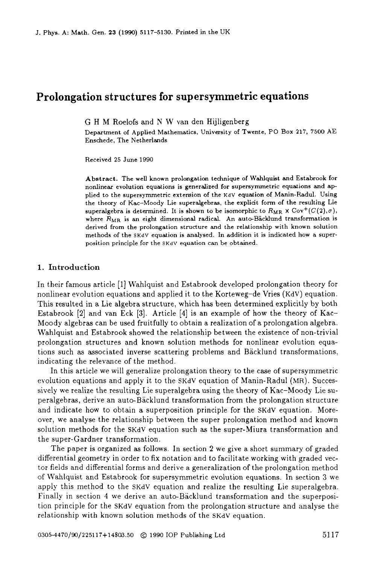# **Prolongation structures for supersymmetric equations**

G H M Roelofs and **N** W van den Hijligenberg

Department of Applied Mathematics, University of Twente, PO Box 217, 7500 AE Enschede, The Netherlands

Received **25** June 1990

Abstract. The well known prolongation technique of Wahlquist and Estabrook for nonlinear evolution equations is generalized for supersymmetric equations and applied to the supersymmetric extension of the KdV equation of Manin-Hadul. Using the theory of Kac-Moody Lie superalgebra, the explicit form of the resulting Lie superalgebra is determined. It is shown to be isomorphic to  $R_{MR} \times \text{Cov}^+(C(2), \sigma)$ , where  $R_{MR}$  is an eight dimensional radical. An auto-Bäcklund transformation is derived from the prolongation structure and the relationship with known solution methods of the SKdV equation is analysed. In addition it is indicated how a superposition principle for the SKdV equation can be obtained.

# **1. Introduction**

In their famous article **[l]** Wahlquist and Estabrook developed prolongation theory for nonlinear evolution equations and applied it to the Korteweg-de Vries (KdV) equation. This resulted in a Lie algebra structure, which has been determined explicitly by both Estabrook **[2]** and van Eck **[3].** Article **[4]** is an example of how the theory of Kac-Moody algebras can be used fruitfully to obtain a realization of a prolongation algebra. Wahlquist and Estabrook showed the relationship between the existence of non-trivial prolongation structures and known solution methods for nonlinear evolution equations such as associated inverse scattering problems and Backlund transformations, indicating the relevance of the method.

In this article we will generalize prolongation theory to the case of supersymmetric evolution equations and apply it to the SKdV equation of Manin-Radul (MR). Successively we realize the resulting Lie superalgebra using the theory of Kac-Moody Lie superalgebras, derive an auto-Backlund transformation from the prolongation structure and indicate how to obtain a superposition principle for the SKdV equation. Moreover, we analyse the relationship between the super prolongation method and known solution methods for the SKdV equation such as the super-Miura transformation and the super-Gardner transformation.

The paper is organized as follows. In section **2** we give a short summary of graded differential geometry in order to fix notation and to facilitate working with graded vector fields and differential forms and derive a generalization of the prolongation method of Wahlquist and Estabrook for supersymmetric evolution equations. In section **3** we apply this method to the SKdV equation and realize the resulting Lie superalgebra. Finally in section **4** we derive an auto-Backlund transformation and the superposition principle for the SKdV equation from the prolongation structure and analyse the relationship with known solution methods of the SKdV equation.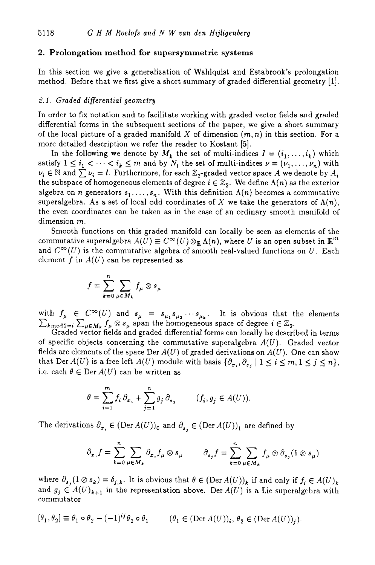# **2. Prolongation method for supersymmetric systems**

In this section we give a generalization of Wahlquist and Estabrook's prolongation method. Before that we first give a short summary of graded differential geometry [l].

# *2.1. Graded differential geometry*

In order to fix notation and to facilitate working with graded vector fields and graded differential forms in the subsequent sections of the paper, we give a short summary of the local picture of a graded manifold X of dimension  $(m, n)$  in this section. For a more detailed description we refer the reader to Kostant *[5].* 

In the following we denote by  $M_k$  the set of multi-indices  $I = (i_1, \ldots, i_k)$  which satisfy  $1 \leq i_1 < \cdots < i_k \leq m$  and by  $N_i$  the set of multi-indices  $\nu = (\nu_1, \ldots, \nu_n)$  with  $\nu_i \in \mathbb{N}$  and  $\sum \nu_i = l$ . Furthermore, for each  $\mathbb{Z}_2$ -graded vector space A we denote by  $A_i$ the subspace of homogeneous elements of degree  $i \in \mathbb{Z}_2$ . We define  $\Lambda(n)$  as the exterior algebra on *n* generators  $s_1, \ldots, s_n$ . With this definition  $\Lambda(n)$  becomes a commutative superalgebra. As a set of local odd coordinates of X we take the generators of  $\Lambda(n)$ , the even coordinates can be taken **as** in the case of an ordinary smooth manifold of dimension *m.* 

Smooth functions on this graded manifold can locally be seen **as** elements of the commutative superalgebra  $A(U) \equiv C^{\infty}(U) \otimes_{\mathbb{R}} \Lambda(n)$ , where *U* is an open subset in  $\mathbb{R}^m$ and  $C^{\infty}(U)$  is the commutative algebra of smooth real-valued functions on *U*. Each element f in  $A(U)$  can be represented as

$$
f = \sum_{k=0}^{n} \sum_{\mu \in M_k} f_{\mu} \otimes s_{\mu}
$$

with  $f_{\mu} \in C^{\infty}(U)$  and  $s_{\mu} = s_{\mu_1} s_{\mu_2} \cdots s_{\mu_k}$ . It is obvious that the elements  $f_\mu\otimes s_\mu$  span the homogeneous space of degree  $i\in\mathbb{Z}_2$ .

 $\angle k_{\text{mod }2=i}$   $\angle \mu \in M_k$   $\int \mu \otimes s_\mu$  span the nonlogeneous space of degree  $i \in \mathbb{Z}_2$ .<br>Graded vector fields and graded differential forms can locally be described in terms of specific objects concerning the commutative superalgebra  $A(U)$ . Graded vector fields are elements of the space Der  $A(U)$  of graded derivations on  $A(U)$ . One can show that Der  $A(U)$  is a free left  $A(U)$  module with basis  $\{\partial_{x_i}, \partial_{x_j} \mid 1 \le i \le m, 1 \le j \le n\},$ i.e. each  $\theta \in \text{Der } A(U)$  can be written as

$$
\theta = \sum_{i=1}^m f_i \, \partial_{x_i} + \sum_{j=1}^n g_j \, \partial_{s_j} \qquad (f_i, g_j \in A(U)).
$$

The derivations  $\partial_{x_1} \in (\text{Der } A(U))_0$  and  $\partial_{x_2} \in (\text{Der } A(U))_1$  are defined by

$$
\partial_{x_i} f = \sum_{k=0}^n \sum_{\mu \in M_k} \partial_{x_i} f_{\mu} \otimes s_{\mu} \qquad \partial_{s_j} f = \sum_{k=0}^n \sum_{\mu \in M_k} f_{\mu} \otimes \partial_{s_j} (1 \otimes s_{\mu})
$$

where  $\partial_{s}(1 \otimes s_k) = \delta_{j,k}$ . It is obvious that  $\theta \in (\text{Der } A(U)_k)$  if and only if  $f_i \in A(U)_k$ and  $g_j \in A(U)_{k+1}$  in the representation above. Der  $A(U)$  is a Lie superalgebra with commutator

$$
[\theta_1, \theta_2] \equiv \theta_1 \circ \theta_2 - (-1)^{ij} \theta_2 \circ \theta_1 \qquad (\theta_1 \in (\text{Der } A(U))_i, \theta_2 \in (\text{Der } A(U))_j).
$$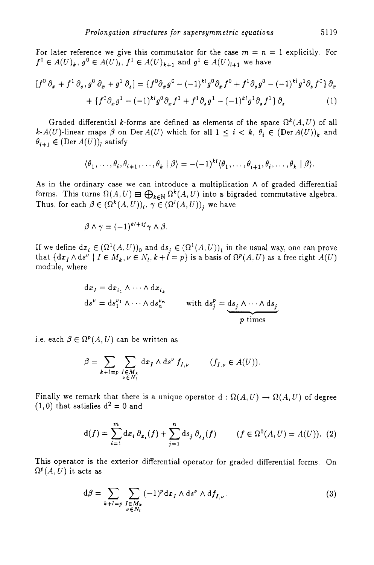For later reference we give this commutator for the case  $m = n = 1$  explicitly. For  $f^0 \in A(U)_k$ ,  $g^0 \in A(U)_l$ ,  $f^1 \in A(U)_{k+1}$  and  $g^1 \in A(U)_{l+1}$  we have

$$
[f^{0} \partial_{x} + f^{1} \partial_{s}, g^{0} \partial_{x} + g^{1} \partial_{s}] = \{f^{0} \partial_{x}g^{0} - (-1)^{kl}g^{0} \partial_{x}f^{0} + f^{1} \partial_{s}g^{0} - (-1)^{kl}g^{1} \partial_{s}f^{0}\} \partial_{x}
$$

$$
+ \{f^{0} \partial_{x}g^{1} - (-1)^{kl}g^{0} \partial_{x}f^{1} + f^{1} \partial_{s}g^{1} - (-1)^{kl}g^{1} \partial_{s}f^{1}\} \partial_{s}
$$
(1)

Graded differential k-forms are defined as elements of the space  $\Omega^k(A, U)$  of all  $k-A(U)$ -linear maps  $\beta$  on Der  $A(U)$  which for all  $1 \leq i \leq k$ ,  $\theta_i \in (\text{Der } A(U))_k$  and  $\theta_{i+1} \in (\text{Der } A(U))_i$  satisfy

$$
\langle \theta_1, \ldots, \theta_i, \theta_{i+1}, \ldots, \theta_k | \beta \rangle = -(-1)^{kl} \langle \theta_1, \ldots, \theta_{i+1}, \theta_i, \ldots, \theta_k | \beta \rangle.
$$

**As** in the ordinary case we can introduce a multiplication **A** of graded differential forms. This turns  $\Omega(A, U) \equiv \bigoplus_{k \in \mathbb{N}} \Omega^k(A, U)$  into a bigraded commutative algebra. Thus, for each  $\beta \in (\Omega^k(A, U))_i$ ,  $\gamma \in (\Omega^l(A, U))_i$ , we have  $(\sigma_1, \ldots, \sigma_i, \sigma_{i+1}, \ldots, \sigma_k | \beta) = -(-1)^m (\sigma_1, \ldots, \sigma_{i+1}, \sigma_i, \ldots, \sigma_k | \beta).$ <br>
linary case we can introduce a multiplication  $\wedge$  of graded differential<br>
urns  $\Omega(A, U) \boxminus \bigoplus_{k \in \mathbb{N}} \Omega^k(A, U)$  into a bigraded commutative algebr

$$
\beta \wedge \gamma = (-1)^{kl + ij} \gamma \wedge \beta.
$$

If we define  $dx_i \in (\Omega^1(A, U))_0$  and  $ds_i \in (\Omega^1(A, U))_1$  in the usual way, one can prove that  $\{dx_I \wedge ds^{\nu} \mid I \in M_k, \nu \in N_l, k+l=p\}$  is a basis of  $\Omega^p(A, U)$  as a free right  $A(U)$ module. where

$$
dx_I = dx_{i_1} \wedge \cdots \wedge dx_{i_k}
$$
  
\n
$$
ds^{\nu} = ds_1^{\nu_1} \wedge \cdots \wedge ds_n^{\nu_n}
$$
 with  $ds_j^p = ds_j \wedge \cdots \wedge ds_j$   
\n
$$
p \text{ times}
$$

i.e. each  $\beta \in \Omega^p(A, U)$  can be written as

$$
\beta = \sum_{k+l=p} \sum_{\substack{I \in M_k \\ \nu \in N_l}} dx_I \wedge ds^{\nu} f_{I,\nu} \qquad (f_{I,\nu} \in A(U)).
$$

Finally we remark that there is a unique operator  $d : \Omega(A, U) \to \Omega(A, U)$  of degree  $(1,0)$  that satisfies  $d^2 = 0$  and

$$
d(f) = \sum_{i=1}^{m} dx_i \, \partial_{x_i}(f) + \sum_{j=1}^{n} ds_j \, \partial_{s_j}(f) \qquad (f \in \Omega^0(A, U) = A(U)). \tag{2}
$$

This operator is the exterior differential operator for graded differential forms. On  $\Omega^p(A, U)$  it acts as

$$
d\beta = \sum_{k+l=p} \sum_{\substack{I \in M_k \\ \nu \in N_l}} (-1)^p dx_I \wedge ds^{\nu} \wedge df_{I,\nu}.
$$
 (3)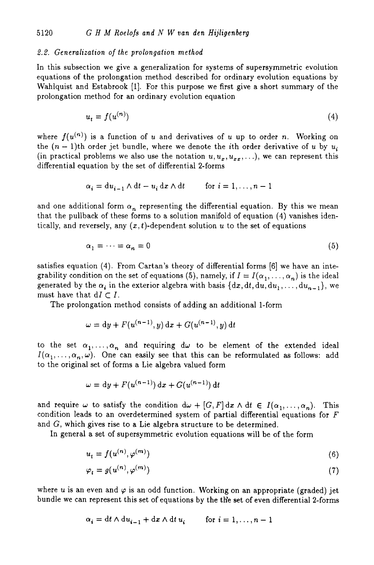# 2.2. Generalization *of* the prolongation method

In this subsection we give a generalization for systems of supersymmetric evolution equations of the prolongation method described for ordinary evolution equations by Wahlquist and Estabrook [I]. For this purpose we first give a short summary of the prolongation method for an ordinary evolution equation

$$
u_t = f(u^{(n)}) \tag{4}
$$

where  $f(u^{(n)})$  is a function of u and derivatives of u up to order n. Working on the  $(n-1)$ th order jet bundle, where we denote the *i*th order derivative of *u* by  $u_i$ (in practical problems we also use the notation  $u, u_x, u_{xx}, \ldots$ ), we can represent this differential equation by the set of differential 2-forms

$$
\alpha_i = du_{i-1} \wedge dt - u_i dx \wedge dt \qquad \text{for } i = 1, \dots, n-1
$$

and one additional form  $\alpha_n$  representing the differential equation. By this we mean that the pullback of these forms to a solution manifold of equation **(4)** vanishes identically, and reversely, any  $(x, t)$ -dependent solution  $u$  to the set of equations

$$
\alpha_1 = \dots = \alpha_n = 0 \tag{5}
$$

satisfies equation **(4).** From Cartan's theory of differential forms [6] we have an integrability condition on the set of equations (5), namely, if  $I = I(\alpha_1, \ldots, \alpha_n)$  is the ideal generated by the  $\alpha_i$  in the exterior algebra with basis  $\{dx, dt, du, du_1, \ldots, du_{n-1}\}$ , we must have that  $dI \subset I$ .

The prolongation method consists of adding an additional I-form

$$
\omega = dy + F(u^{(n-1)}, y) dx + G(u^{(n-1)}, y) dt
$$

to the set  $\alpha_1, \ldots, \alpha_n$  and requiring  $d\omega$  to be element of the extended ideal  $I(\alpha_1, \ldots, \alpha_n, \omega)$ . One can easily see that this can be reformulated as follows: add to the original set of forms a Lie algebra valued form

$$
\omega = dy + F(u^{(n-1)}) dx + G(u^{(n-1)}) dt
$$

and require  $\omega$  to satisfy the condition  $d\omega + [G, F] dx \wedge dt \in I(\alpha_1, \ldots, \alpha_n)$ . This condition leads to an overdetermined system of partial differential equations for *F*  and G, which gives rise to a Lie algebra structure to be determined.

In general a set of supersymmetric evolution equations will be of the form

$$
u_t = f(u^{(n)}, \varphi^{(m)})
$$
\n<sup>(6)</sup>

$$
\varphi_t = g(u^{(n)}, \varphi^{(m)}) \tag{7}
$$

where u is an even and  $\varphi$  is an odd function. Working on an appropriate (graded) jet bundle we can represent this set of equations by the the set of even differential 2-forms

$$
\alpha_i = dt \wedge du_{i-1} + dx \wedge dt \, u_i \qquad \text{for } i = 1, \dots, n-1
$$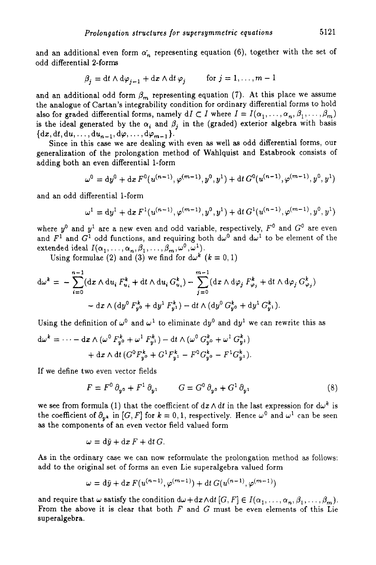and an additional even form  $\alpha'_n$  representing equation (6), together with the set of odd differential 2-forms

$$
\beta_j = dt \wedge d\varphi_{j-1} + dx \wedge dt \varphi_j \qquad \text{for } j = 1, ..., m-1
$$

and an additional odd form  $\beta_m$  representing equation (7). At this place we assume the analogue of Cartan's integrability condition for ordinary differential forms to hold also for graded differential forms, namely  $dI \subset I$  where  $I = I(\alpha_1, \ldots, \alpha_n, \beta_1, \ldots, \beta_m)$ is the ideal generated by the  $\alpha_i$  and  $\beta_j$  in the (graded) exterior algebra with basis  $\{dx, dt, du, \ldots, du_{n-1}, d\varphi, \ldots, d\varphi_{m-1}\}.$ 

Since in this case we are dealing with even **as** well **as** odd differential forms, our generalization of the prolongation method of Wahlquist and Estabrook consists of adding both an even differential 1-form

$$
\omega^{0} = dy^{0} + dx F^{0}(u^{(n-1)}, \varphi^{(m-1)}, y^{0}, y^{1}) + dt G^{0}(u^{(n-1)}, \varphi^{(m-1)}, y^{0}, y^{1})
$$

and an odd differential 1-form

$$
\omega^1 = dy^1 + dx F^1(u^{(n-1)}, \varphi^{(m-1)}, y^0, y^1) + dt G^1(u^{(n-1)}, \varphi^{(m-1)}, y^0, y^1)
$$

where  $y^0$  and  $y^1$  are a new even and odd variable, respectively,  $F^0$  and  $G^0$  are even and  $F^1$  and  $G^1$  odd functions, and requiring both  $d\omega^0$  and  $d\omega^1$  to be element of the extended ideal  $I(\alpha_1, \ldots, \alpha_n, \beta_1, \ldots, \beta_m, \omega^0, \omega^1)$ .

Using formulae (2) and (3) we find for  $d\omega^k$   $(k = 0, 1)$ 

$$
d\omega^{k} = -\sum_{i=0}^{n-1} (dx \wedge du_{i} F_{u_{i}}^{k} + dt \wedge du_{i} G_{u_{i}}^{k}) - \sum_{j=0}^{m-1} (dx \wedge d\varphi_{j} F_{\varphi_{j}}^{k} + dt \wedge d\varphi_{j} G_{\varphi_{j}}^{k}) - dx \wedge (dy^{0} F_{y^{0}}^{k} + dy^{1} F_{y^{1}}^{k}) - dt \wedge (dy^{0} G_{y^{0}}^{k} + dy^{1} G_{y^{1}}^{k}).
$$

Using the definition of  $\omega^0$  and  $\omega^1$  to eliminate dy<sup>0</sup> and dy<sup>1</sup> we can rewrite this as  $d\omega^k = \cdots - dx \wedge (\omega^0 F_{\infty}^k + \omega^1 F_{\infty}^k) - dt \wedge (\omega^0 G_{\infty}^k + \omega^1 G_{\infty}^k)$ 

$$
d\omega^{k} = \cdots - dx \wedge (\omega^{0} F_{y^{0}}^{k} + \omega^{1} F_{y^{1}}^{k}) - dt \wedge (\omega^{0} G_{y^{0}}^{k} + \omega^{1} G_{y^{1}}^{k})
$$

$$
+ dx \wedge dt (G^{0} F_{y^{0}}^{k} + G^{1} F_{y^{1}}^{k} - F^{0} G_{y^{0}}^{k} - F^{1} G_{y^{1}}^{k}).
$$

If we define two even vector fields

$$
F = F^0 \partial_{y^0} + F^1 \partial_{y^1} \qquad G = G^0 \partial_{y^0} + G^1 \partial_{y^1} \qquad (8)
$$

we see from formula (1) that the coefficient of  $dx \wedge dt$  in the last expression for  $d\omega^k$  is the coefficient of  $\partial_{\mu k}$  in [G, F] for  $k = 0, 1$ , respectively. Hence  $\omega^0$  and  $\omega^1$  can be seen as the components of an even vector field valued form

$$
\omega = \mathrm{d}\tilde{y} + \mathrm{d}x F + \mathrm{d}t G.
$$

**As** in the ordinary case we can now reformulate the prolongation method as follows: add to the original set of forms an even Lie superalgebra valued form

$$
\omega = d\bar{y} + dx F(u^{(n-1)}, \varphi^{(m-1)}) + dt G(u^{(n-1)}, \varphi^{(m-1)})
$$

and require that  $\omega$  satisfy the condition  $d\omega + d\alpha \wedge dt$  [G, F]  $\in I(\alpha_1, \ldots, \alpha_n, \beta_1, \ldots, \beta_m)$ . From the above it is clear that both *F* and G must be even elements of this Lie superalgebra.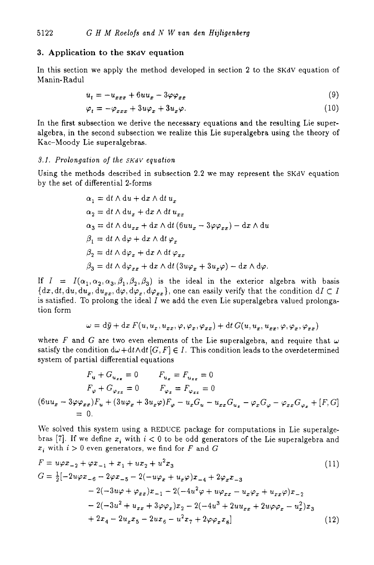# **3. Application to the SKdV equation**

In this section we apply the method developed in section 2 to the SKdV equation of Manin-Radul

$$
u_t = -u_{xxx} + 6uu_x - 3\varphi\varphi_{xx}
$$
\n(9)

$$
\varphi_t = -\varphi_{xxx} + 3u\varphi_x + 3u_x\varphi. \tag{10}
$$

In the first subsection we derive the necessary equations and the resulting Lie superalgebra, in the second subsection we realize this Lie superalgebra using the theory of Kac-Moody Lie superalgebra.

#### 3.1. Prolongation of the *SKdV* equation

Using the methods described in subsection 2.2 we may represent the SKdV equation by the set of differential 2-forms

$$
\alpha_1 = dt \wedge du + dx \wedge dt u_x
$$
  
\n
$$
\alpha_2 = dt \wedge du_x + dx \wedge dt u_{xx}
$$
  
\n
$$
\alpha_3 = dt \wedge du_{xx} + dx \wedge dt (6uu_x - 3\varphi\varphi_{xx}) - dx \wedge du
$$
  
\n
$$
\beta_1 = dt \wedge d\varphi + dx \wedge dt \varphi_x
$$
  
\n
$$
\beta_2 = dt \wedge d\varphi_x + dx \wedge dt \varphi_{xx}
$$
  
\n
$$
\beta_3 = dt \wedge d\varphi_{xx} + dx \wedge dt (3u\varphi_x + 3u_x\varphi) - dx \wedge d\varphi.
$$

If  $I = I(\alpha_1, \alpha_2, \alpha_3, \beta_1, \beta_2, \beta_3)$  is the ideal in the exterior algebra with basis  ${dx, dt, du, du_x, du_{xx}, d\varphi, d\varphi_x, d\varphi_{xx}}$ , one can easily verify that the condition  $dI \subset I$ is satisfied. To prolong the ideal *I* we add the even Lie superalgebra valued prolongation form

$$
\omega = \mathrm{d} \bar{y} + \mathrm{d} x\, F(u, u_x, u_{xx}, \varphi, \varphi_x, \varphi_{xx}) + \mathrm{d} t\, G(u, u_x, u_{xx}, \varphi, \varphi_x, \varphi_{xx})
$$

where F and G are two even elements of the Lie superalgebra, and require that  $\omega$ satisfy the condition  $d\omega + dt \wedge dt$  [G, F]  $\in$  *I*. This condition leads to the overdetermined system of partial differential equations

$$
F_u + G_{u_{xx}} = 0 \t F_{u_x} = F_{u_{xx}} = 0
$$
  
\n
$$
F_{\varphi} + G_{\varphi_{xx}} = 0 \t F_{\varphi_x} = F_{\varphi_{xx}} = 0
$$
  
\n
$$
(6uu_x - 3\varphi\varphi_{xx})F_u + (3u\varphi_x + 3u_x\varphi)F_{\varphi} - u_xG_u - u_{xx}G_{u_x} - \varphi_xG_{\varphi} - \varphi_{xx}G_{\varphi_x} + [F, G]
$$
  
\n
$$
= 0.
$$

We solved this system using a REDUCE package for computations in Lie superalgebras [7]. If we define  $x_i$  with  $i < 0$  to be odd generators of the Lie superalgebra and  $x_i$  with  $i > 0$  even generators, we find for *F* and *G* 

$$
F = u\varphi x_{-2} + \varphi x_{-1} + x_1 + ux_2 + u^2 x_3
$$
\n
$$
G = \frac{1}{2} \left[ -2u\varphi x_{-6} - 2\varphi x_{-5} - 2(-u\varphi_x + u_x\varphi)x_{-4} + 2\varphi_x x_{-3} - 2(-3u\varphi + \varphi_{xx})x_{-1} - 2(-4u^2\varphi + u\varphi_{xx} - u_x\varphi_x + u_{xx}\varphi)x_{-2} - 2(-3u^2 + u_{xx} + 3\varphi\varphi_x)x_2 - 2(-4u^3 + 2uu_{xx} + 2u\varphi\varphi_x - u_x^2)x_3 + 2x_4 - 2u_x x_5 - 2ux_6 - u^2x_7 + 2\varphi\varphi_x x_8 \right]
$$
\n(12)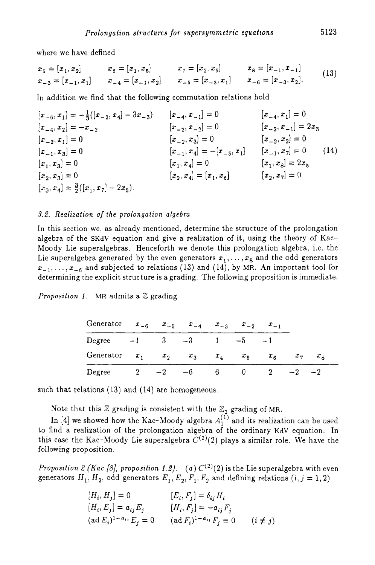where we have defined

$$
x_5 = [x_1, x_2] \qquad x_6 = [x_1, x_5] \qquad x_7 = [x_2, x_5] \qquad x_8 = [x_{-1}, x_{-1}]
$$
  
\n
$$
x_{-3} = [x_{-1}, x_1] \qquad x_{-4} = [x_{-1}, x_2] \qquad x_{-5} = [x_{-3}, x_1] \qquad x_{-6} = [x_{-3}, x_2].
$$
\n
$$
(13)
$$

In addition we find that the following commutation relations hold

$$
[x_{-6}, x_1] = -\frac{1}{3}([x_{-2}, x_4] - 3x_{-3}) \qquad [x_{-4}, x_{-1}] = 0 \qquad [x_{-4}, x_1] = 0
$$
  
\n
$$
[x_{-2}, x_1] = 0 \qquad [x_{-2}, x_{-2}] = 0 \qquad [x_{-2}, x_{-1}] = 2x_3
$$
  
\n
$$
[x_{-1}, x_3] = 0 \qquad [x_{-1}, x_4] = -[x_{-5}, x_1] \qquad [x_{-1}, x_7] = 0 \qquad (14)
$$
  
\n
$$
[x_1, x_3] = 0 \qquad [x_1, x_4] = 0 \qquad [x_1, x_5] = 2x_5
$$
  
\n
$$
[x_2, x_3] = 0 \qquad [x_1, x_4] = [x_1, x_6] \qquad [x_2, x_7] = 0 \qquad (15)
$$
  
\n
$$
[x_3, x_4] = \frac{3}{2}([x_1, x_7] - 2x_5).
$$

# *3.2. Realizatton* of *the prolongation algebra*

In this section we, as already mentioned, determine the structure of the prolongation algebra of the SKdV equation and give a realization of it, using the theory of Kac-Moody Lie superalgebras. Henceforth we denote this prolongation algebra, i.e. the Lie superalgebra generated by the even generators  $x_1, \ldots, x_8$  and the odd generators  $x_{-1},...,x_{-6}$  and subjected to relations (13) and (14), by MR. An important tool for determining the explicit structure is a grading. The following proposition is immediate.

# *Proposition 1.* MR admits a Z grading

| Generator $x_{-6}$ $x_{-5}$ $x_{-4}$ $x_{-3}$ $x_{-2}$    |  |  | $x_{-1}$ |           |  |
|-----------------------------------------------------------|--|--|----------|-----------|--|
| Degree $-1$ 3 $-3$ 1 $-5$                                 |  |  |          |           |  |
| Generator $x_1$ $x_2$ $x_3$ $x_4$ $x_5$ $x_6$ $x_7$ $x_8$ |  |  |          |           |  |
| Degree $2 \t -2 \t -6 \t 6 \t 0 \t 2$                     |  |  |          | $-2$ $-2$ |  |

such that relations **(13)** and (14) are homogeneous

Note that this  $\mathbb Z$  grading is consistent with the  $\mathbb Z_2$  grading of MR.

In  $[4]$  we showed how the Kac-Moody algebra  $A_1^{(1)}$  and its realization can be used to find a realization of the prolongation algebra of the ordinary KdV equation. In this case the Kac-Moody Lie superalgebra  $C^{(2)}(2)$  plays a similar role. We have the following proposition.

*Proposition 2 (Kac [8], proposition 1.2).* (a)  $C^{(2)}(2)$  is the Lie superalgebra with even generators  $H_1, H_2$ , odd generators  $E_1, E_2, F_1, F_2$  and defining relations  $(i, j = 1, 2)$ 

$$
[H_i, H_j] = 0 \t\t [E_i, F_j] = \delta_{ij} H_i
$$
  
\n
$$
[H_i, E_j] = a_{ij} E_j \t\t [H_i, F_j] = -a_{ij} F_j
$$
  
\n
$$
(\text{ad } E_i)^{1-a_{ij}} E_j = 0 \t\t (\text{ad } F_i)^{1-a_{ij}} F_j = 0 \t\t (i \neq j)
$$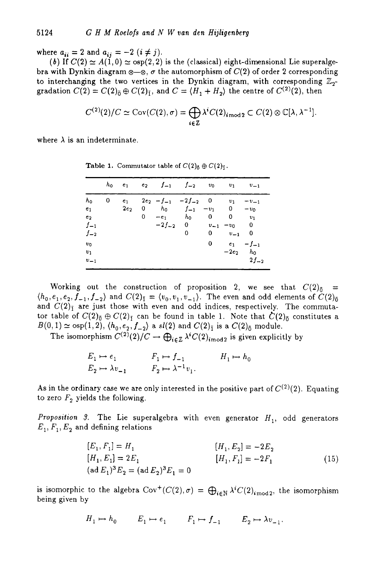where  $a_{ii} = 2$  and  $a_{ii} = -2$   $(i \neq j)$ .

(b) If  $C(2) \simeq A(1,0) \simeq \text{osp}(2,2)$  is the (classical) eight-dimensional Lie superalgebra with Dynkin diagram  $\otimes -\otimes$ ,  $\sigma$  the automorphism of  $C(2)$  of order 2 corresponding to interchanging the two vertices in the Dynkin diagram, with corresponding  $\mathbb{Z}_{2}$ gradation  $C(2) = C(2)_{\bar{0}} \oplus C(2)_{\bar{1}}$ , and  $C = \langle H_1 + H_2 \rangle$  the centre of  $C^{(2)}(2)$ , then

$$
C^{(2)}(2)/C \simeq \text{Cov}(C(2), \sigma) = \bigoplus_{i \in \mathbb{Z}} \lambda^i C(2)_{i \bmod 2} \subset C(2) \otimes \mathbb{C}[\lambda, \lambda^{-1}]
$$

where  $\lambda$  is an indeterminate.

|                                                                   |   | $h_0$ $e_1$              |        | $e_2$ $f_{-1}$ $f_{-2}$ $v_0$                                     |                        |                         | $v_1$                                         | $v_{-1}$                               |
|-------------------------------------------------------------------|---|--------------------------|--------|-------------------------------------------------------------------|------------------------|-------------------------|-----------------------------------------------|----------------------------------------|
| $h_0$<br>e <sub>1</sub><br>e <sub>2</sub><br>$f_{-1}$<br>$f_{-2}$ | 0 | e <sub>1</sub><br>$2e_2$ | 0<br>0 | $2e_2 - f_{-1} -2f_{-2} = 0$<br>$h_0$<br>$-e_1$<br>$-2f_{-2} = 0$ | $f_{-1}$<br>$h_0$<br>0 | $-v_1$<br>$\bf{0}$<br>0 | $v_1$<br>0<br>0<br>$v_{-1} - v_0$<br>$v_{-1}$ | $-v_{-1}$<br>$-v_0$<br>$v_1$<br>0<br>0 |
| v <sub>0</sub><br>$v_1$<br>$v_{-1}$                               |   |                          |        |                                                                   |                        | 0                       | $e_1$<br>$-2e_2$                              | $-f_{-1}$<br>$h_0$<br>$2f_{-2}$        |

**Table 1.** Commutator table of  $C(2)_{\bar{0}} \oplus C(2)_{\bar{1}}$ .

Working out the construction of proposition 2, we see that  $C(2)_{\bar{0}} =$  $\langle h_0, e_1, e_2, f_{-1}, f_{-2} \rangle$  and  $C(2)_{\bar{1}} = \langle v_0, v_1, v_{-1} \rangle$ . The even and odd elements of  $C(2)_{\bar{0}}$ and  $C(2)$ <sub>I</sub> are just those with even and odd indices, respectively. The commutator table of  $C(2)_{\bar{0}} \oplus C(2)_{\bar{1}}$  can be found in table 1. Note that  $\dot{C}(2)_{\bar{0}}$  constitutes a  $B(0,1) \simeq$  osp(1,2),  $\langle h_0, e_2, f_{-2} \rangle$  a sl(2) and  $C(2)_{\bar{1}}$  is a  $C(2)_{\bar{0}}$  module.

The isomorphism  $C^{(2)}(2)/C \to \bigoplus_{i \in \mathbb{Z}} \lambda^i C(2)_{i \mod 2}$  is given explicitly by

$$
E_1 \mapsto e_1 \qquad F_1 \mapsto f_{-1} \qquad H_1 \mapsto h_0
$$
  

$$
E_2 \mapsto \lambda v_{-1} \qquad F_2 \mapsto \lambda^{-1} v_1.
$$

As in the ordinary case we are only interested in the positive part of  $C^{(2)}(2)$ . Equating to zero  $F_2$  yields the following.

*Proposition* **9.**  The Lie superalgebra with even generator *H,,* odd generators  $E_1, F_1, E_2$  and defining relations

$$
[E_1, F_1] = H_1
$$
  
\n
$$
[H_1, E_2] = -2E_2
$$
  
\n
$$
[H_1, E_1] = 2E_1
$$
  
\n
$$
[H_1, F_1] = -2F_1
$$
  
\n
$$
[H_1, F_1] = -2F_1
$$
\n(15)  
\n
$$
[H_1, F_1] = -2F_1
$$

is isomorphic to the algebra  $Cov^+(C(2), \sigma) = \bigoplus_{i \in \mathbb{N}} \lambda^i C(2)_{i \mod 2}$ , the isomorphism being given by

$$
H_1 \mapsto h_0 \qquad E_1 \mapsto e_1 \qquad F_1 \mapsto f_{-1} \qquad E_2 \mapsto \lambda v_{-1}.
$$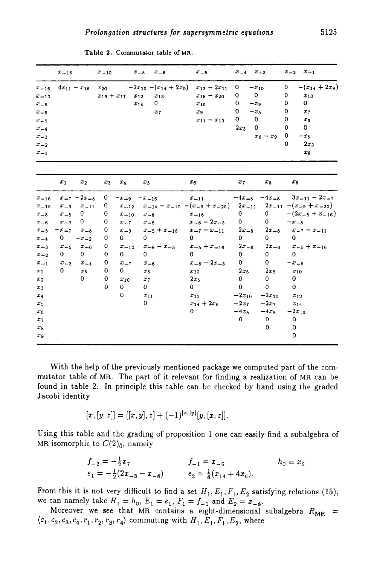|                                                                                                           | $x_{-16}$    |                    | $x_{-10}$         |                      | $x_{-8}$<br>$x_{-6}$                                                    | $x_{-5}$                                                                          | $x_{-4}$                                                                                           | $x_{-3}$              | $x_{-1}$<br>$x_{-2}$                                                                                                                                 |
|-----------------------------------------------------------------------------------------------------------|--------------|--------------------|-------------------|----------------------|-------------------------------------------------------------------------|-----------------------------------------------------------------------------------|----------------------------------------------------------------------------------------------------|-----------------------|------------------------------------------------------------------------------------------------------------------------------------------------------|
| $x_{-16}$<br>$x - 10$<br>$x_{-8}$<br>$x_{-6}$<br>$x_{-5}$<br>$x_{-4}$<br>$x_{-3}$<br>$x_{-2}$<br>$x_{-1}$ |              | $4x_{11} - x_{16}$ | $x_{19} + x_{17}$ | $x_{12}$             | $x_{20}$ $-2x_{10}-(x_{14}+2x_9)$<br>$x_{13}$<br>0<br>$x_{14}$<br>$x_7$ | $x_{13} - 2x_{11}$<br>$x_{18} - x_{20}$<br>$x_{10}$<br>$x_9$<br>$x_{11} - x_{13}$ | 0<br>$-x_{10}$<br>0<br>0<br>0<br>$-x9$<br>0<br>$-x5$<br>0<br>$\mathbf 0$<br>$\mathbf{0}$<br>$2x_3$ | $x_6 - x_9$           | $-(x_{14}+2x_9)$<br>0<br>0<br>$x_{13}$<br>$\mathbf{0}$<br>0<br>0<br>$x_7$<br>0<br>$x_{9}$<br>$\mathbf{0}$<br>0<br>0<br>$-x5$<br>$2x_3$<br>0<br>$x_8$ |
|                                                                                                           | $x_1$        | $x_2$              | $x_3$             | $x_4$                | $x_5$                                                                   | $x_6$                                                                             | $x_7$                                                                                              | $x_8$                 | $x_9$                                                                                                                                                |
| $x_{-16}$                                                                                                 |              | $x_{-7} - 2x_{-8}$ | 0                 | $-x_{-9}$ $-x_{-16}$ |                                                                         | $x_{-11}$                                                                         |                                                                                                    | $-4x_{-8}$ $-4x_{-8}$ | $3x_{-11} - 2x_{-7}$                                                                                                                                 |
| $x_{-10}$                                                                                                 | $x_{-9}$     | $x = 11$           | 0                 | $x_{-12}$            |                                                                         |                                                                                   |                                                                                                    |                       | $x_{-14} - x_{-10} - (x_{-9} + x_{-20})$ $2x_{-11}$ $2x_{-11} - (x_{-9} + x_{-20})$                                                                  |
| $x_{-8}$                                                                                                  | $x_{-5}$     | 0                  | 0                 | $x_{-10}$            | $x_{-8}$                                                                | $x_{-16}$                                                                         | $\mathbf{0}$                                                                                       | $\mathbf{O}$          | $-(2x_{-5}+x_{-16})$                                                                                                                                 |
| $x_{-6}$                                                                                                  | $x_{-3}$     | 0                  | 0                 | $x = 7$              | $x_{-6}$                                                                | $x_{-8} - 2x_{-3}$                                                                | $\mathbf{0}$                                                                                       | 0                     | $-x_{-8}$                                                                                                                                            |
| $x_{-5}$                                                                                                  | $-x_{-7}$    | $x_{-8}$           | 0                 | $x_{-9}$             | $x_{-5} + x_{-16}$                                                      | $x_{-7} - x_{-11}$                                                                | $2x_{-8}$                                                                                          | $2x_{-8}$             | $x_{-7} - x_{-11}$                                                                                                                                   |
| $x_{-4}$                                                                                                  | $\mathbf{O}$ | $-x_{-2}$          | 0                 | 0                    | 0                                                                       | 0                                                                                 | 0                                                                                                  | $\mathbf{0}$          | 0                                                                                                                                                    |
| $x_{-3}$                                                                                                  | $x_{-5}$     | $x_{-6}$           | 0                 | $x_{-10}$            | $x_{-8} - x_{-3}$                                                       | $x_{-5} + x_{-16}$                                                                | $2x_{-6}$                                                                                          | $2x_{-6}$             | $x_{-5} + x_{-16}$                                                                                                                                   |
| $x_{-2}$                                                                                                  | $\mathbf{0}$ | 0                  | 0                 | $\mathbf{0}$         | 0                                                                       | 0                                                                                 | $\mathbf{0}$                                                                                       | $\mathbf{0}$          | 0                                                                                                                                                    |
| $x_{-1}$                                                                                                  | $x_{-3}$     | $x_{-4}$           | 0                 | $x_{-7}$             | $x_{-6}$                                                                | $x_{-8} - 2x_{-3}$                                                                | $\mathbf{0}$                                                                                       | $\mathbf{0}$          | $-x_{-8}$                                                                                                                                            |
| $x_1$                                                                                                     | 0            | $x_{5}$            | 0                 | 0                    | $x_6$                                                                   | $x_{10}$                                                                          | 2x <sub>5</sub>                                                                                    | 2x <sub>5</sub>       | $x_{10}$                                                                                                                                             |
| $x_2$                                                                                                     |              | 0                  | 0                 | $x_{10}$             | $x_7$                                                                   | $2x_5$                                                                            | $\mathbf{0}$                                                                                       | $\mathbf{0}$          | 0                                                                                                                                                    |
| $x_3$                                                                                                     |              |                    | $\Omega$          | $\mathbf{0}$         | 0                                                                       | $\mathbf{0}$                                                                      | 0                                                                                                  | $\mathbf 0$           | $\mathbf{0}$                                                                                                                                         |
| $x_4$                                                                                                     |              |                    |                   | 0                    | $x_{11}$                                                                | $x_{12}$                                                                          | $-2x_{10}$                                                                                         | $-2x_{10}$            | $x_{12}$                                                                                                                                             |
| $x_{5}$                                                                                                   |              |                    |                   |                      | 0                                                                       | $x_{14} + 2x_6$                                                                   | $-2x$                                                                                              | $-2x_7$               | $x_{14}$                                                                                                                                             |
| $x_6$                                                                                                     |              |                    |                   |                      |                                                                         | 0                                                                                 | $-4x5$                                                                                             | $-4x_5$               | $-2x_{10}$                                                                                                                                           |
| $x_7$                                                                                                     |              |                    |                   |                      |                                                                         |                                                                                   | $\bf{0}$                                                                                           | $\mathbf{0}$          | 0                                                                                                                                                    |
| $x_8$                                                                                                     |              |                    |                   |                      |                                                                         |                                                                                   |                                                                                                    | 0                     | 0                                                                                                                                                    |
| $x_9$                                                                                                     |              |                    |                   |                      |                                                                         |                                                                                   |                                                                                                    |                       | 0                                                                                                                                                    |
|                                                                                                           |              |                    |                   |                      |                                                                         |                                                                                   |                                                                                                    |                       |                                                                                                                                                      |

**Table 2. Commutator table of MR.** 

With the help of the previously mentioned package we computed part of the commutator table of MR. The part of it relevant for finding a realization of MR can be found in table 2. In principle this table can be checked by hand using the graded Jacobi identity

$$
[x,[y,z]] = [[x,y],z] + (-1)^{|x||y|}[y,[x,z]].
$$

Using this table and the grading of proposition 1 one can easily find a subalgebra of MR isomorphic to  $C(2)_{\bar{0}}$ , namely

$$
f_{-2} = -\frac{1}{2}x_7
$$
  
\n
$$
f_{-1} = x_{-6}
$$
  
\n
$$
e_1 = -\frac{1}{2}(2x_{-3} - x_{-8})
$$
  
\n
$$
f_{-1} = x_{-6}
$$
  
\n
$$
e_2 = \frac{1}{8}(x_{14} + 4x_6).
$$
  
\n
$$
h_0 = x_5
$$

From this it is not very difficult to find a set  $H_1, E_1, F_1, E_2$  satisfying relations (15), we can namely take  $H_1 = h_0$ ,  $E_1 = e_1$ ,  $F_1 = f_{-1}$  and  $E_2 = x_{-8}$ .

Moreover we see that MR contains a eight-dimensional subalgebra  $R_{MR}$  =  $\langle c_1, c_2, c_3, c_4, r_1, r_2, r_3, r_4 \rangle$  commuting with  $H_1, E_1, F_1, E_2$ , where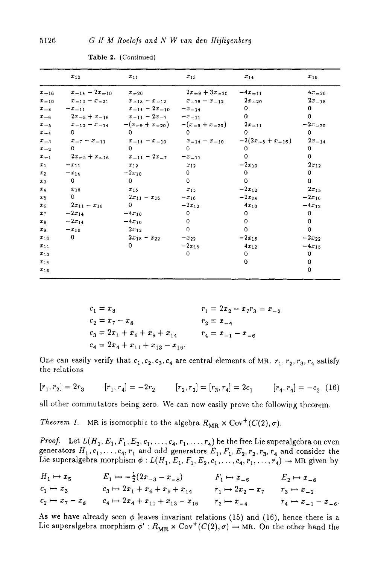|           | $x_{10}$                                                    | $x_{11}$                       | $x_{13}$                                                        | $x_{14}$              | $x_{16}$    |
|-----------|-------------------------------------------------------------|--------------------------------|-----------------------------------------------------------------|-----------------------|-------------|
| $x_{-16}$ | $x_{-14} - 2x_{-10}$ $x_{-20}$                              |                                | $2x_{-9} + 3x_{-20} - 4x_{-11}$                                 |                       | $4x_{-20}$  |
| $x = 10$  | $x = 13 - x = 21$                                           |                                | $x_{-18} - x_{-12}$ $x_{-18} - x_{-12}$                         | $2x_{-20}$            | $2x_{-18}$  |
| $x_{-8}$  | $-x_{-11}$                                                  | $x_{-14} - 2x_{-10} - x_{-14}$ |                                                                 | $\Omega$              | 0           |
|           | $x_{-6}$ $2x_{-5} + x_{-16}$ $x_{-11} - 2x_{-7}$ $-x_{-11}$ |                                |                                                                 | $\Omega$              | 0           |
| $x_{-5}$  |                                                             |                                | $x_{-10} - x_{-14}$ $-(x_{-9} + x_{-20})$ $-(x_{-9} + x_{-20})$ | $2x_{-11}$            | $-2x_{-20}$ |
| $x = 4$   | $\Omega$                                                    | $^{\circ}$                     | 0                                                               | n.                    | 0.          |
| $x_{-3}$  | $x_{-7} - x_{-11}$                                          |                                | $x_{-14} - x_{-10}$ $x_{-14} - x_{-10}$                         | $-2(2x_{-5}+x_{-16})$ | $2x - 14$   |
| $x_{-2}$  | $\Omega$                                                    | $\Omega$                       | $\Omega$                                                        | 0                     | 0           |
| $x_{-1}$  | $2x_{-5} + x_{-16}$                                         | $x_{-11} - 2x_{-7}$            | $-x_{-11}$                                                      | $\mathbf 0$           | 0           |
| $x_1$     | $-x_{11}$                                                   | $x_{12}$                       | $x_{12}$                                                        | $-2x_{10}$            | $2x_{12}$   |
| $x_2$     | $-x_{14}$                                                   | $-2x_{10}$                     | $\mathbf{0}$                                                    | $\Omega$              | $\bf{0}$    |
| $x_3$     | $\mathbf{0}$                                                | 0                              | $\Omega$                                                        | $\Omega$              | 0           |
| $x_4$     | $x_{18}$                                                    | $x_{15}$                       | $x_{15}$                                                        | $-2x_{12}$            | $2x_{15}$   |
| $x_{5}$   | $\mathbf{0}$                                                | $2x_{11} - x_{16}$             | $-x_{16}$                                                       | $-2x_{14}$            | $-2x_{16}$  |
| $x_6$     | $2x_{11} - x_{16}$                                          | $\mathbf{0}$                   | $-2x_{12}$                                                      | $4x_{10}$             | $-4x_{12}$  |
| $x_7$     | $-2x_{14}$                                                  | $-4x_{10}$                     | 0                                                               | 0                     | 0           |
| $x_8$     | $-2x_{14}$                                                  | $-4x_{10}$                     | $\Omega$                                                        | $\Omega$              | 0           |
| $x_9$     | $-x_{16}$                                                   | $2x_{12}$                      | $\Omega$                                                        | $\mathbf 0$           | 0           |
| $x_{10}$  | $\mathbf 0$                                                 | $2x_{18} - x_{22}$             | $-x_{22}$                                                       | $-2x_{16}$            | $-2x_{22}$  |
| $x_{11}$  |                                                             | 0                              | $-2x_{15}$                                                      | $4x_{12}$             | $-4x_{15}$  |
| $x_{13}$  |                                                             |                                | 0                                                               | 0                     | 0           |
| $x_{14}$  |                                                             |                                |                                                                 | $\mathbf 0$           | $\Omega$    |
| $x_{16}$  |                                                             |                                |                                                                 |                       | $\mathbf 0$ |

**Table 2.** (Continued)

$$
c_1 = x_3
$$
  
\n
$$
c_2 = x_7 - x_8
$$
  
\n
$$
c_3 = 2x_1 + x_6 + x_9 + x_{14}
$$
  
\n
$$
c_4 = 2x_4 + x_{11} + x_{13} - x_{16}
$$
  
\n
$$
r_1 = 2x_2 - x_7r_3 = x_{-2}
$$
  
\n
$$
r_2 = x_{-4}
$$
  
\n
$$
r_4 = x_{-1} - x_{-6}
$$

One can easily verify that  $c_1, c_2, c_3, c_4$  are central elements of MR.  $r_1, r_2, r_3, r_4$  satisfy the relations

$$
[r_1, r_2] = 2r_3 \qquad [r_1, r_4] = -2r_2 \qquad [r_2, r_2] = [r_3, r_4] = 2c_1 \qquad [r_4, r_4] = -c_2 \tag{16}
$$

all other commutators being zero. We can now easily prove the following theorem.

*Theorem 1.* MR is isomorphic to the algebra  $R_{MR} \times \text{Cov}^+(C(2), \sigma)$ .

*Proof.* Let  $L(H_1, E_1, F_1, E_2, c_1, \ldots, c_4, r_1, \ldots, r_4)$  be the free Lie superalgebra on even generators  $H_1, c_1, \ldots, c_4, r_1$  and odd generators  $E_1, F_1, E_2, r_2, r_3, r_4$  and consider the

\nLie superalgebra morphism 
$$
\phi: L(H_1, E_1, F_1, E_2, c_1, \ldots, c_4, r_1, \ldots, r_4) \to \text{MR given by}
$$
\n

\n\n $H_1 \mapsto x_5$ \n $E_1 \mapsto -\frac{1}{2}(2x_{-3} - x_{-8})$ \n $F_1 \mapsto x_{-6}$ \n $E_2 \mapsto x_{-8}$ \n

\n\n $c_1 \mapsto x_3$ \n $c_3 \mapsto 2x_1 + x_6 + x_9 + x_{14}$ \n $r_1 \mapsto 2x_2 - x_7$ \n $r_3 \mapsto x_{-2}$ \n

\n\n $c_2 \mapsto x_7 - x_8$ \n $c_4 \mapsto 2x_4 + x_{11} + x_{13} - x_{16}$ \n $r_2 \mapsto x_{-4}$ \n $r_4 \mapsto x_{-1} - x_{-6}$ \n

As we have already seen  $\phi$  leaves invariant relations (15) and (16), hence there is a Lie superalgebra morphism  $\phi' : R_{MR} \times \text{Cov}^+(C(2), \sigma) \to MR$ . On the other hand the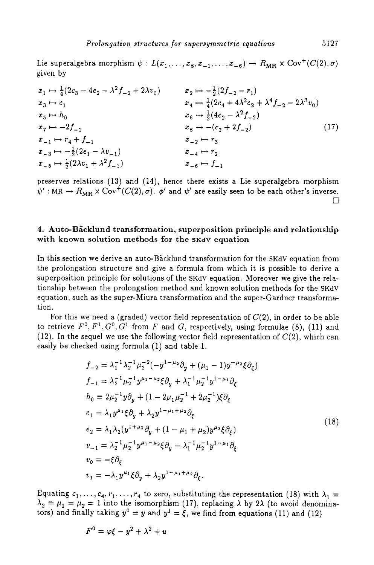Lie superalgebra morphism  $\psi : L(x_1, \ldots, x_8, x_{-1}, \ldots, x_{-6}) \to R_{MR} \times \text{Cov}^+(C(2), \sigma)$ given by

$$
x_{1} \mapsto \frac{1}{4}(2c_{3} - 4e_{2} - \lambda^{2}f_{-2} + 2\lambda v_{0})
$$
  
\n
$$
x_{2} \mapsto -\frac{1}{2}(2f_{-2} - r_{1})
$$
  
\n
$$
x_{3} \mapsto c_{1}
$$
  
\n
$$
x_{4} \mapsto \frac{1}{4}(2c_{4} + 4\lambda^{2}e_{2} + \lambda^{4}f_{-2} - 2\lambda^{3}v_{0})
$$
  
\n
$$
x_{5} \mapsto h_{0}
$$
  
\n
$$
x_{6} \mapsto \frac{1}{2}(4e_{2} - \lambda^{2}f_{-2})
$$
  
\n
$$
x_{7} \mapsto -2f_{-2}
$$
  
\n
$$
x_{8} \mapsto -(c_{2} + 2f_{-2})
$$
  
\n
$$
x_{-1} \mapsto r_{4} + f_{-1}
$$
  
\n
$$
x_{-2} \mapsto r_{3}
$$
  
\n
$$
x_{-3} \mapsto -\frac{1}{2}(2e_{1} - \lambda v_{-1})
$$
  
\n
$$
x_{-4} \mapsto r_{2}
$$
  
\n
$$
x_{-6} \mapsto f_{-1}
$$
  
\n(17)

preserves relations (13) and **(14),** hence there exists a Lie superalgebra morphism  $\psi'$ : MR  $\rightarrow$   $R_{MR} \times \text{Cov}^+(C(2), \sigma)$ .  $\phi'$  and  $\psi'$  are easily seen to be each other's inverse. *0* 

# **4. Auto-Backlund transformation, superposition principle and relationship with known solution methods for the SKdV equation**

In this section we derive an auto-Backlund transformation for the SKdV equation from the prolongation structure and give a formula from which it is possible to derive a superposition principle for solutions of the SKdV equation. Moreover we give the relationship between the prolongation method and known solution methods for the SKdV equation, such **as** the super-Miura transformation and the super-Gardner transformation.

For this we need a (graded) vector field representation of **C(2),** in order to be able to retrieve  $F^0$ ,  $F^1$ ,  $G^0$ ,  $G^1$  from  $F$  and  $G$ , respectively, using formulae (8), (11) and **(12).** In the sequel we use the following vector field representation of **C(2),** which can easily be checked using formula (1) and table **1.** 

$$
f_{-2} = \lambda_1^{-1} \lambda_2^{-1} \mu_2^{-2} (-y^{1-\mu_2} \partial_y + (\mu_1 - 1) y^{-\mu_2} \xi \partial_\xi)
$$
  
\n
$$
f_{-1} = \lambda_2^{-1} \mu_2^{-1} y^{\mu_1 - \mu_2} \xi \partial_y + \lambda_1^{-1} \mu_2^{-1} y^{1-\mu_1} \partial_\xi
$$
  
\n
$$
h_0 = 2\mu_2^{-1} y \partial_y + (1 - 2\mu_1 \mu_2^{-1} + 2\mu_2^{-1}) \xi \partial_\xi
$$
  
\n
$$
e_1 = \lambda_1 y^{\mu_1} \xi \partial_y + \lambda_2 y^{1-\mu_1 + \mu_2} \partial_\xi
$$
  
\n
$$
e_2 = \lambda_1 \lambda_2 (y^{1+\mu_2} \partial_y + (1 - \mu_1 + \mu_2) y^{\mu_2} \xi \partial_\xi)
$$
  
\n
$$
v_{-1} = \lambda_2^{-1} \mu_2^{-1} y^{\mu_1 - \mu_2} \xi \partial_y - \lambda_1^{-1} \mu_2^{-1} y^{1-\mu_1} \partial_\xi
$$
  
\n
$$
v_0 = -\xi \partial_\xi
$$
  
\n
$$
v_1 = -\lambda_1 y^{\mu_1} \xi \partial_y + \lambda_2 y^{1-\mu_1 + \mu_2} \partial_\xi.
$$
\n
$$
(18)
$$

Equating  $c_1, \ldots, c_4, r_1, \ldots, r_4$  to zero, substituting the representation (18) with  $\lambda_1 =$  $\lambda_2 = \mu_1 = \mu_2 = 1$  into the isomorphism (17), replacing  $\lambda$  by 2 $\lambda$  (to avoid denominators) and finally taking  $y^0 = y$  and  $y^1 = \xi$ , we find from equations (11) and (12)

$$
F^0 = \varphi \xi - y^2 + \lambda^2 + u
$$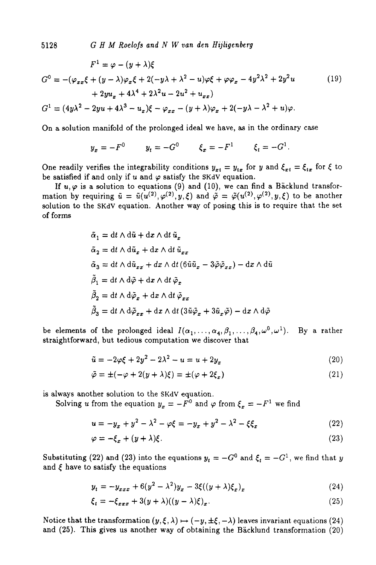**5128** *G H M Roelofs and N W van den Hijligenberg* 

$$
F^{1} = \varphi - (y + \lambda)\xi
$$
  
\n
$$
G^{0} = -(\varphi_{xx}\xi + (y - \lambda)\varphi_{x}\xi + 2(-y\lambda + \lambda^{2} - u)\varphi\xi + \varphi\varphi_{x} - 4y^{2}\lambda^{2} + 2y^{2}u
$$
\n
$$
+ 2yu_{x} + 4\lambda^{4} + 2\lambda^{2}u - 2u^{2} + u_{xx})
$$
\n
$$
G^{1} = (4y\lambda^{2} - 2yu + 4\lambda^{3} - u_{x})\xi - \varphi_{xx} - (y + \lambda)\varphi_{x} + 2(-y\lambda - \lambda^{2} + u)\varphi.
$$
\n(19)

On a solution manifold of the prolonged ideal we have, **as** in the ordinary case

$$
y_x = -F^0
$$
  $y_t = -G^0$   $\xi_x = -F^1$   $\xi_t = -G^1$ 

One readily verifies the integrability conditions  $y_{xt} = y_{tx}$  for y and  $\xi_{xt} = \xi_{tx}$  for  $\xi$  to be satisfied if and only if  $u$  and  $\varphi$  satisfy the SKdV equation.

If  $u, \varphi$  is a solution to equations (9) and (10), we can find a Bäcklund transformation by requiring  $\tilde{u} = \tilde{u}(u^{(2)}, \varphi^{(2)}, y, \xi)$  and  $\tilde{\varphi} = \tilde{\varphi}(u^{(2)}, \varphi^{(2)}, y, \xi)$  to be another solution to the **SKdV** equation. Another way of posing this is to require that the set of forms

$$
\begin{aligned} \tilde{\alpha}_1 &= \mathrm{d} t \wedge \mathrm{d} \tilde{u} + \mathrm{d} x \wedge \mathrm{d} t \, \tilde{u}_x \\ \tilde{\alpha}_2 &= \mathrm{d} t \wedge \mathrm{d} \tilde{u}_x + \mathrm{d} x \wedge \mathrm{d} t \, \tilde{u}_{xx} \\ \tilde{\alpha}_3 &= \mathrm{d} t \wedge \mathrm{d} \tilde{u}_{xx} + d x \wedge \mathrm{d} t \, (6 \tilde{u} \tilde{u}_x - 3 \tilde{\varphi} \tilde{\varphi}_{xx}) - \mathrm{d} x \wedge \mathrm{d} \tilde{u} \\ \tilde{\beta}_1 &= \mathrm{d} t \wedge \mathrm{d} \tilde{\varphi} + \mathrm{d} x \wedge \mathrm{d} t \, \tilde{\varphi}_x \\ \tilde{\beta}_2 &= \mathrm{d} t \wedge \mathrm{d} \tilde{\varphi}_x + \mathrm{d} x \wedge \mathrm{d} t \, \tilde{\varphi}_{xx} \\ \tilde{\beta}_3 &= \mathrm{d} t \wedge \mathrm{d} \tilde{\varphi}_{xx} + \mathrm{d} x \wedge \mathrm{d} t \, (3 \tilde{u} \tilde{\varphi}_x + 3 \tilde{u}_x \tilde{\varphi}) - \mathrm{d} x \wedge \mathrm{d} \tilde{\varphi} \end{aligned}
$$

be elements of the prolonged ideal  $I(\alpha_1, \ldots, \alpha_4, \beta_1, \ldots, \beta_4, \omega^0, \omega^1)$ . straightforward, but tedious computation we discover that By a rather

$$
\tilde{u} = -2\varphi\xi + 2y^2 - 2\lambda^2 - u = u + 2y_x \tag{20}
$$

$$
\tilde{\varphi} = \pm(-\varphi + 2(y + \lambda)\xi) = \pm(\varphi + 2\xi_x) \tag{21}
$$

is always another solution to the **SKdV** equation.

Solving *u* from the equation  $y_x = -F^0$  and  $\varphi$  from  $\xi_x = -F^1$  we find

$$
u = -y_x + y^2 - \lambda^2 - \varphi \xi = -y_x + y^2 - \lambda^2 - \xi \xi_x
$$
 (22)

$$
\varphi = -\xi_x + (y + \lambda)\xi. \tag{23}
$$

Substituting (22) and (23) into the equations  $y_t = -G^0$  and  $\xi_t = -G^1$ , we find that *y* and  $\xi$  have to satisfy the equations

$$
y_t = -y_{xxx} + 6(y^2 - \lambda^2)y_x - 3\xi((y + \lambda)\xi_x)_x
$$
 (24)

$$
\xi_t = -\xi_{xxx} + 3(y + \lambda)((y - \lambda)\xi)_x. \tag{25}
$$

Notice that the transformation  $(y, \xi, \lambda) \mapsto (-y, \pm \xi, -\lambda)$  leaves invariant equations (24) and **(25).** This gives us another way of obtaining the Backlund transformation **(20)**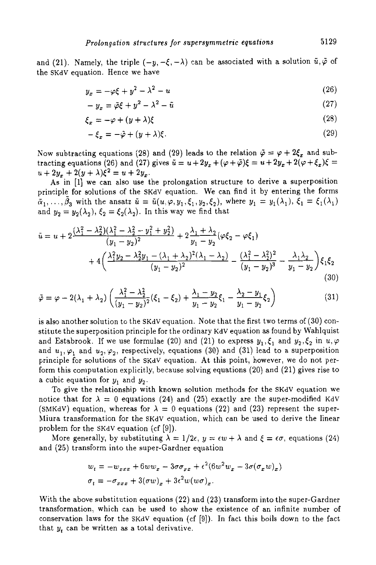and (21). Namely, the triple  $(-y, -\xi, -\lambda)$  can be associated with a solution  $\tilde{u}, \tilde{\varphi}$  of the SKdV equation. Hence we have

$$
y_x = -\varphi \xi + y^2 - \lambda^2 - u \tag{26}
$$

$$
-y_x = \tilde{\varphi}\xi + y^2 - \lambda^2 - \tilde{u} \tag{27}
$$

$$
\xi_x = -\varphi + (y + \lambda)\xi \tag{28}
$$

$$
-\xi_x = -\tilde{\varphi} + (y + \lambda)\xi.
$$
 (29)

Now subtracting equations (28) and (29) leads to the relation  $\tilde{\varphi} = \varphi + 2\xi_x$  and subtracting equations (26) and (27) gives  $\tilde{u} = u + 2y_x + (\varphi + \tilde{\varphi})\xi = u + 2y_x + 2(\varphi + \xi_x)\xi =$  $u + 2y_x + 2(y + \lambda)\xi^2 = u + 2y_x$ .

**As** in **[I]** we can also use the prolongation structure to derive a superposition principle for solutions of the SKdV equation. We can find it by entering the forms and  $y_2 = y_2(\lambda_2)$ ,  $\xi_2 = \xi_2(\lambda_2)$ . In this way we find that  $\tilde{\alpha}_1,\ldots,\tilde{\beta}_3$  with the ansatz  $\tilde{u} = \tilde{u}(u,\varphi,y_1,\xi_1,y_2,\xi_2)$ , where  $y_1 = y_1(\lambda_1), \xi_1 = \xi_1(\lambda_1)$ 

$$
\tilde{u} = u + 2\frac{(\lambda_1^2 - \lambda_2^2)(\lambda_1^2 - \lambda_2^2 - y_1^2 + y_2^2)}{(y_1 - y_2)^2} + 2\frac{\lambda_1 + \lambda_2}{y_1 - y_2}(\varphi\xi_2 - \varphi\xi_1) \n+ 4\left(\frac{\lambda_1^2 y_2 - \lambda_2^2 y_1 - (\lambda_1 + \lambda_2)^2 (\lambda_1 - \lambda_2)}{(y_1 - y_2)^2} - \frac{(\lambda_1^2 - \lambda_2^2)^2}{(y_1 - y_2)^3} - \frac{\lambda_1 \lambda_2}{y_1 - y_2}\right)\xi_1\xi_2
$$
\n(30)\n
$$
\tilde{\varphi} = \varphi - 2(\lambda_1 + \lambda_2)\left(\frac{\lambda_1^2 - \lambda_2^2}{(y_1 - y_2)^2}(\xi_1 - \xi_2) + \frac{\lambda_1 - y_2}{y_1 - y_2}\xi_1 - \frac{\lambda_2 - y_1}{y_1 - y_2}\xi_2\right)
$$
\n(31)

$$
\tilde{\varphi} = \varphi - 2(\lambda_1 + \lambda_2) \left( \frac{\lambda_1^2 - \lambda_2^2}{(y_1 - y_2)^2} (\xi_1 - \xi_2) + \frac{\lambda_1 - y_2}{y_1 - y_2} \xi_1 - \frac{\lambda_2 - y_1}{y_1 - y_2} \xi_2 \right)
$$
(31)

is also another solution to the SKdV equation. Note that the first two terms of **(30)** constitute the superposition principle for the ordinary KdV equation **as** found by Wahlquist and Estabrook. If we use formulae (20) and (21) to express  $y_1, \xi_1$  and  $y_2, \xi_2$  in  $u, \varphi$ and  $u_1, \varphi_1$  and  $u_2, \varphi_2$ , respectively, equations (30) and (31) lead to a superposition principle for solutions of the SKdV equation. At this point, however, we do not perform this computation explicitly, because solving equations **(20)** and **(21)** gives rise to a cubic equation for  $y_1$  and  $y_2$ .

To give the relationship with known solution methods for the SKdV equation we notice that for  $\lambda = 0$  equations (24) and (25) exactly are the super-modified KdV (SMKdV) equation, whereas for  $\lambda = 0$  equations (22) and (23) represent the super-Miura transformation for the SKdV equation, which can be used to derive the linear problem for the SKdV equation (cf **[9]).** 

More generally, by substituting  $\lambda = 1/2\epsilon$ ,  $y = \epsilon w + \lambda$  and  $\xi = \epsilon \sigma$ , equations (24) and **(25)** transform into the super-Gardner equation

$$
w_t = -w_{xxx} + 6ww_x - 3\sigma\sigma_{xx} + \epsilon^2(6w^2w_x - 3\sigma(\sigma_x w)_x)
$$
  

$$
\sigma_t = -\sigma_{xxx} + 3(\sigma w)_x + 3\epsilon^2 w(w\sigma)_x.
$$

With the above substitution equations **(22)** and **(23)** transform into the super-Gardner transformation, which can be used to show the existence of an infinite number of conservation laws for the SKdV equation (cf [9]). In fact this boils down to the fact that *yt* can be written as a total derivative.